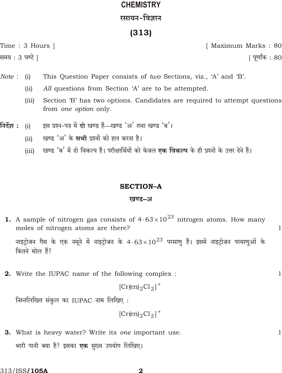# **CHEMISTRY** रसायन-विज्ञान

## $(313)$

Time: 3 Hours | समय : 3 घण्टे |

[ Maximum Marks: 80

<u>|</u> पूर्णांक : 80

 $\mathbf{1}$ 

 $\mathbf{1}$ 

- Note:  $(i)$ This Question Paper consists of two Sections, viz., 'A' and 'B'.
	- $(ii)$ All questions from Section 'A' are to be attempted.
	- $(iii)$ Section 'B' has two options. Candidates are required to attempt questions from *one option* only.
- इस प्रश्न-पत्र में दो खण्ड हैं-खण्ड 'अ' तथा खण्ड 'ब'। निर्देश :  $(i)$ 
	- खण्ड 'अ' के सभी प्रश्नों को हल करना है।  $(ii)$
	- खण्ड 'ब' में दो विकल्प हैं। परीक्षार्थियों को केवल **एक विकल्प** के ही प्रश्नों के उत्तर देने हैं।  $(iii)$

#### **SECTION-A**

#### खण्ड–अ

**1.** A sample of nitrogen gas consists of 4 63  $10^{23}$  nitrogen atoms. How many moles of nitrogen atoms are there?

नाइट्रोजन गैस के एक नमूने में नाइट्रोजन के 4 63  $10^{23}$  परमाणु हैं। इसमें नाइट्रोजन परमाणुओं के कितने मोल हैं?

**2.** Write the IUPAC name of the following complex :

$$
[Cr(en)_2Cl_2]
$$

निम्नलिखित संकुल का IUPAC नाम लिखिए:

 $[Cr(en)_2Cl_2]$ 

**3.** What is heavy water? Write its one important use.  $\mathbf{1}$ भारी पानी क्या है? इसका **एक** मुख्य उपयोग लिखिए।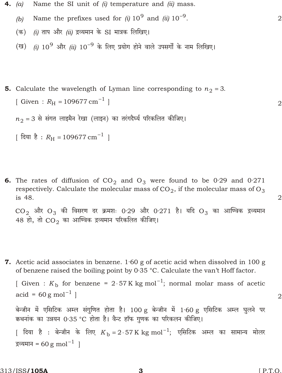- Name the SI unit of  $(i)$  temperature and  $(ii)$  mass. 4.  $(a)$ 
	- Name the prefixes used for (i)  $10^9$  and (ii)  $10^{-9}$ .  $\overline{2}$  $(b)$
	- *(i)* ताप और *(ii)* द्रव्यमान के SI मात्रक लिखिए। (क)
	- (ख) (i) 10<sup>9</sup> और (ii) 10 <sup>9</sup> के लिए प्रयोग होने वाले उपसर्गों के नाम लिखिए।

```
5. Calculate the wavelength of Lyman line corresponding to n_23.
   [ Given : R_{\rm H} 109677 cm ^{-1} ]
```
 $n_2$  3 से संगत लाइमैन रेखा (लाइन) का तरंगदैर्घ्य परिकलित कीजिए।

```
| दिया है : R_{\rm H} 109677 cm ^{-1} |
```
**6.** The rates of diffusion of  $CO<sub>2</sub>$  and  $O<sub>3</sub>$  were found to be 0.29 and 0.271 respectively. Calculate the molecular mass of  $CO<sub>2</sub>$ , if the molecular mass of  $O<sub>3</sub>$ is 48.

 $CO_{2}$  और  $O_{3}$  की विसरण दर क्रमशः 0.29 और 0.271 है। यदि  $O_{3}$  का आण्विक द्रव्यमान 48 हो, तो  $CO_2$  का आण्विक द्रव्यमान परिकलित कीजिए।

7. Acetic acid associates in benzene.  $1.60$  g of acetic acid when dissolved in 100 g of benzene raised the boiling point by 0.35 °C. Calculate the van't Hoff factor.

```
[ Given : K<sub>b</sub> for benzene = 2 57 K kg mol<sup>1</sup>; normal molar mass of acetic
\text{acid} = 60 \text{ g mol}^{-1}बेन्जीन में एसिटिक अम्ल संगुणित होता है। 100 g बेन्जीन में 1·60 g एसिटिक अम्ल घुलने पर
कथनांक का उन्नयन 0.35 °C होता है। वैन्ट हॉफ गुणक का परिकलन कीजिए।
```

```
| दिया है : बेन्जीन के लिए K_{\rm b} 2 57K kg mol ^1; एसिटिक अम्ल का सामान्य मोलर
द्रव्यमान = 60 g mol ^{-1} |
```
 $\overline{2}$ 

 $\overline{2}$ 

 $\overline{2}$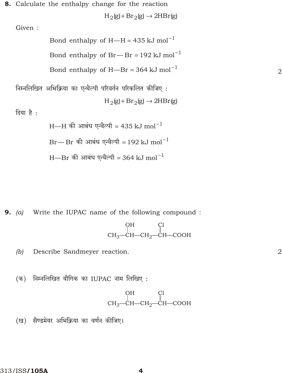8. Calculate the enthalpy change for the reaction

 $H_2(g)$   $Br_2(g)$  $2HBr(g)$ 

Given:

Bond enthalpy of H-H  $435 \text{ kJ}$  mol  $^{-1}$ Bond enthalpy of  $Br$ —Br 192 kJ mol<sup>1</sup> Bond enthalpy of H-Br  $364 \text{ kJ}$  mol  $^{-1}$ 

निम्नलिखित अभिक्रिया का एन्थैल्पी परिवर्तन परिकलित कीजिए:  $H_2(g)$   $Br_2(g)$  $2HBr(g)$ 

दिया है:

 $H$ —H की आबंध एन्थैल्पी 435 kJ mol $^{-1}$ 

 $Br$ — Br की आबंध एन्थैल्पी 192 kJ mol $^{\rm 1}$ 

 $H$ —Br की आबंध एन्थैल्पी 364 kJ mol $^{-1}$ 

**9.** (a) Write the IUPAC name of the following compound :

$$
\begin{array}{c}\n\text{OH} & \text{Cl} \\
\downarrow & \downarrow \\
\text{CH}_3-\text{CH}-\text{CH}_2-\text{CH}-\text{COOH}\n\end{array}
$$

Describe Sandmeyer reaction.  $(b)$ 

(क) निम्नलिखित यौगिक का IUPAC नाम लिखिए:

$$
\begin{array}{c}\n\text{OH} & \text{Cl} \\
\downarrow \\
\text{CH}_3-\text{CH}-\text{CH}_2-\text{CH}-\text{COOH}\n\end{array}
$$

(ख) सैण्डमेयर अभिक्रिया का वर्णन कीजिए।

4

 $\overline{2}$ 

 $\overline{2}$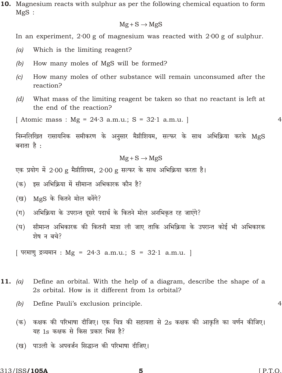10. Magnesium reacts with sulphur as per the following chemical equation to form  $MgS$ :

#### Mg S MgS

In an experiment,  $2.00$  g of magnesium was reacted with  $2.00$  g of sulphur.

- $(a)$ Which is the limiting reagent?
- $(b)$ How many moles of MgS will be formed?
- $|c|$ How many moles of other substance will remain unconsumed after the reaction?
- $(d)$ What mass of the limiting reagent be taken so that no reactant is left at the end of the reaction?

[Atomic mass : Mg = 24.3 a.m.u.; S = 32.1 a.m.u.]

 $\overline{4}$ 

निम्नलिखित रासायनिक समीकरण के अनुसार मैग्नीशियम, सल्फर के साथ अभिक्रिया करके MgS बनाता है :

#### Mg S MgS

एक प्रयोग में 2.00 g मैग्नीशियम, 2.00 g सल्फर के साथ अभिक्रिया करता है।

(क) इस अभिक्रिया में सीमान्त अभिकारक कौन है?

(ख) MgS के कितने मोल बनेंगे?

- (ग) अभिक्रिया के उपरान्त दूसरे पदार्थ के कितने मोल अनभिकृत रह जाएंगे?
- सीमान्त अभिकारक की कितनी मात्रा ली जाए ताकि अभिक्रिया के उपरान्त कोई भी अभिकारक (घ) शेष न बचे?

[ परमाणु द्रव्यमान : Mg = 24.3 a.m.u.; S = 32.1 a.m.u. ]

- Define an orbital. With the help of a diagram, describe the shape of a 11.  $(a)$ 2s orbital. How is it different from 1s orbital?
	- Define Pauli's exclusion principle.  $(b)$

 $\overline{4}$ 

- (क) कक्षक की परिभाषा दीजिए। एक चित्र की सहायता से 2s कक्षक की आकृति का वर्णन कीजिए। यह 1s कक्षक से किस प्रकार भिन्न है?
- (ख) पाउली के अपवर्जन सिद्धान्त की परिभाषा दीजिए।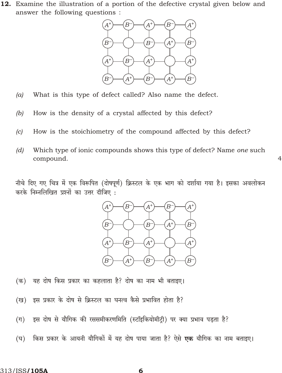12. Examine the illustration of a portion of the defective crystal given below and answer the following questions :



- What is this type of defect called? Also name the defect.  $(a)$
- How is the density of a crystal affected by this defect?  $(b)$
- How is the stoichiometry of the compound affected by this defect?  $(c)$
- $(d)$ Which type of ionic compounds shows this type of defect? Name one such compound.

 $\overline{4}$ 

नीचे दिए गए चित्र में एक विरूपित (दोषपूर्ण) क्रिस्टल के एक भाग को दर्शाया गया है। इसका अवलोकन करके निम्नलिखित प्रश्नों का उत्तर दीजिए:



- यह दोष किस प्रकार का कहलाता है? दोष का नाम भी बताइए। (क)
- इस प्रकार के दोष से क्रिस्टल का घनत्व कैसे प्रभावित होता है? (ख)
- $(\pi)$ इस दोष से यौगिक की रससमीकरणमिति (स्टॉइकियोमीटी) पर क्या प्रभाव पडता है?
- (घ) किस प्रकार के आयनी यौगिकों में यह दोष पाया जाता है? ऐसे **एक** यौगिक का नाम बताइए।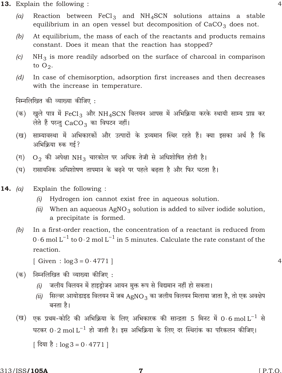- **13.** Explain the following:
	- Reaction between  $FeCl_3$  and  $NH_4SCN$  solutions attains a stable  $(a)$ equilibrium in an open vessel but decomposition of  $CaCO<sub>3</sub>$  does not.
	- At equilibrium, the mass of each of the reactants and products remains  $(b)$ constant. Does it mean that the reaction has stopped?
	- $NH<sub>3</sub>$  is more readily adsorbed on the surface of charcoal in comparison  $(c)$ to  $O_2$ .
	- In case of chemisorption, adsorption first increases and then decreases  $(d)$ with the increase in temperature.

निम्नलिखित की व्याख्या कीजिए:

- (क) खुले पात्र में FeCl<sub>3</sub> और NH<sub>4</sub>SCN विलयन आपस में अभिक्रिया करके स्थायी साम्य प्राप्त कर लेते हैं परन्तु CaCO3 का विघटन नहीं।
- साम्यावस्था में अभिकारकों और उत्पादों के द्रव्यमान स्थिर रहते हैं। क्या इसका अर्थ है कि (ख) अभिक्रिया रुक गई?
- $O<sub>2</sub>$  की अपेक्षा NH<sub>3</sub> चारकोल पर अधिक तेजी से अधिशोषित होती है।  $(\Pi)$
- रासायनिक अधिशोषण तापमान के बढने पर पहले बढता है और फिर घटता है।  $(\overline{\mathbf{E}})$
- 14.  $(a)$ Explain the following:
	- (i) Hydrogen ion cannot exist free in aqueous solution.
	- (ii) When an aqueous  $AgNO_3$  solution is added to silver iodide solution, a precipitate is formed.
	- $(b)$ In a first-order reaction, the concentration of a reactant is reduced from 0 6 mol L  $^{1}$  to 0 2 mol L  $^{1}$  in 5 minutes. Calculate the rate constant of the reaction.
		- [Given:  $log3 \ 0.4771$ ]
	- निम्नलिखित की व्याख्या कीजिए : (क)
		- जलीय विलयन में हाइड़ोजन आयन मुक्त रूप से विद्यमान नहीं हो सकता।  $(i)$
		- सिल्वर आयोडाइड विलयन में जब AgNO3 का जलीय विलयन मिलाया जाता है, तो एक अवक्षेप  $(ii)$ बनता है।
	- (ख) एक प्रथम-कोटि की अभिक्रिया के लिए अभिकारक की सान्द्रता 5 मिनट में 0 6 mol L  $^{\rm 1}$  से घटकर 0 2 mol L  $^1$  हो जाती है। इस अभिक्रिया के लिए दर स्थिरांक का परिकलन कीजिए।

[ दिया है : log 3 0 4771 ]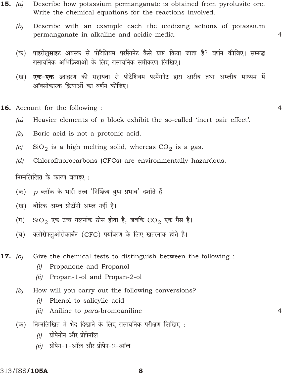- Describe how potassium permanganate is obtained from pyrolusite ore. 15.  $(a)$ Write the chemical equations for the reactions involved.
	- $(b)$ Describe with an example each the oxidizing actions of potassium permanganate in alkaline and acidic media.

 $\overline{4}$ 

 $\overline{4}$ 

 $\overline{4}$ 

- पाइरोलुसाइट अयस्क से पोटैशियम परमैंगनेट कैसे प्राप्त किया जाता है? वर्णन कीजिए। सम्बद्ध (क) रासायनिक अभिक्रियाओं के लिए रासायनिक समीकरण लिखिए।
- एक-एक उदाहरण की सहायता से पोटैशियम परमैंगनेट द्वारा क्षारीय तथा अम्लीय माध्यम में (ख) ऑक्सीकारक क्रियाओं का वर्णन कीजिए।
- **16.** Account for the following:
	- Heavier elements of  $p$  block exhibit the so-called 'inert pair effect'.  $(a)$
	- $(b)$ Boric acid is not a protonic acid.
	- $(c)$  $SiO<sub>2</sub>$  is a high melting solid, whereas  $CO<sub>2</sub>$  is a gas.
	- $(d)$ Chlorofluorocarbons (CFCs) are environmentally hazardous.

निम्नलिखित के कारण बताइए:

- $\,p\,$  ब्लॉक के भारी तत्त्व 'निष्क्रिय युग्म प्रभाव' दर्शाते हैं। (क)
- बोरिक अम्ल प्रोटॉनी अम्ल नहीं है। (ख)
- $\mathrm{SiO}_2$  एक उच्च गलनांक ठोस होता है, जबकि  $\mathrm{CO}_2$  एक गैस है।  $(\Pi)$
- क्लोरोफ्लुओरोकार्बन (CFC) पर्यावरण के लिए खतरनाक होते हैं।  $(\overline{\mathbf{E}})$

17.  $(a)$ Give the chemical tests to distinguish between the following :

- $(i)$ Propanone and Propanol
- Propan-1-ol and Propan-2-ol  $(ii)$
- $(b)$ How will you carry out the following conversions?
	- Phenol to salicylic acid  $(i)$
	- (ii) Aniline to para-bromoaniline
- निम्नलिखित में भेद दिखाने के लिए रासायनिक परीक्षण लिखिए: (क)
	- $(i)$ प्रोपेनोन और प्रोपेनॉल
	- (ii) प्रोपेन-1-ऑल और प्रोपेन-2-ऑल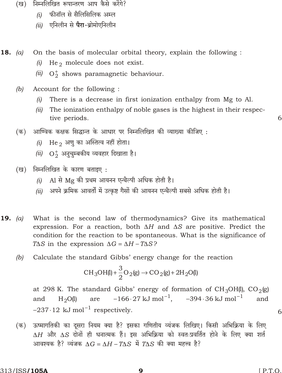- (ख) निम्नलिखित रूपान्तरण आप कैसे करेंगे?
	- फीनॉल से सैलिसिलिक अम्ल  $(i)$
	- एनिलीन से **पैरा**-ब्रोमोएनिलीन  $(ii)$
- On the basis of molecular orbital theory, explain the following : **18.** (a)
	- He<sub>2</sub> molecule does not exist.  $(i)$
	- $(ii)$  $O_2$  shows paramagnetic behaviour.
	- $(b)$ Account for the following:
		- $(i)$  There is a decrease in first ionization enthalpy from Mg to Al.
		- (ii) The ionization enthalpy of noble gases is the highest in their respective periods.
	- (क) आण्विक कक्षक सिद्धान्त के आधार पर निम्नलिखित की व्याख्या कीजिए :
		- He $_2$  अणु का अस्तित्व नहीं होता।  $(i)$
		- $(ii)$  O2 अनुचुम्बकीय व्यवहार दिखाता है।
	- (ख) निम्नलिखित के कारण बताइए:
		- Al से Mg की प्रथम आयनन एन्थैल्पी अधिक होती है।  $(i)$
		- (ii) अपने क्रमिक आवर्तों में उत्कृष्ट गैसों की आयनन एन्थैल्पी सबसे अधिक होती है।
- What is the second law of thermodynamics? Give its mathematical **19.** (a) expression. For a reaction, both  $H$  and  $S$  are positive. Predict the condition for the reaction to be spontaneous. What is the significance of  $T$  S in the expression  $G$  $H$   $T$   $S$ ?
	- $(b)$ Calculate the standard Gibbs' energy change for the reaction

CH<sub>3</sub>OH(I) 
$$
\frac{3}{2}
$$
O<sub>2</sub>(g) CO<sub>2</sub>(g) 2H<sub>2</sub>O(I)

at 298 K. The standard Gibbs' energy of formation of  $CH_3OH(1)$ ,  $CO_2(g)$ 166 27 kJ mol<sup>1</sup>, 394 36 kJ mol $^{-1}$ and and  $H_2O(l)$ are 237 12 kJ mol  $^1$  respectively.

(क) ऊष्मागतिकी का दूसरा नियम क्या है? इसका गणितीय व्यंजक लिखिए। किसी अभिक्रिया के लिए  $H$  और  $S$  दोनों ही धनात्मक हैं। इस अभिक्रिया को स्वतःप्रवर्तित होने के लिए क्या शर्त आवश्यक है? व्यंजक  $G$  H T S में T S की क्या महत्त्व है?

6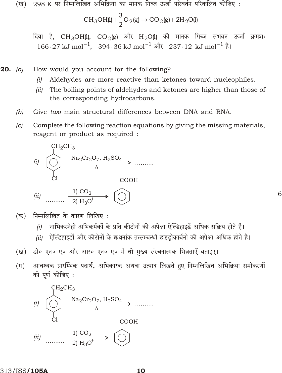(ख) 298 K पर निम्नलिखित अभिक्रिया का मानक गिब्ज ऊर्जा परिवर्तन परिकलित कीजिए :

CH<sub>3</sub>OH(I) 
$$
\frac{3}{2}
$$
O<sub>2</sub>(g) CO<sub>2</sub>(g) 2H<sub>2</sub>O(I)

दिया है, CH<sub>3</sub>OH(l), CO<sub>2</sub>(g) और H<sub>2</sub>O(l) की मानक गिब्ज संभवन ऊर्जा क्रमशः 166 27 kJ mol<sup>1</sup>, 394 36 kJ mol<sup>1</sup> और 237 12 kJ mol<sup>1</sup> है।

How would you account for the following? **20.** (a)

- Aldehydes are more reactive than ketones toward nucleophiles.  $(i)$
- (ii) The boiling points of aldehydes and ketones are higher than those of the corresponding hydrocarbons.
- Give two main structural differences between DNA and RNA.  $(b)$
- Complete the following reaction equations by giving the missing materials,  $(c)$ reagent or product as required :



निम्नलिखित के कारण लिखिए: (क)

- नाभिकस्नेही अभिकर्मकों के प्रति कीटोनों की अपेक्षा ऐल्डिहाइडें अधिक सक्रिय होते हैं।  $(i)$
- ्ऐल्डिहाइडों और कीटोनों के कथनांक तत्सम्बन्धी हाइडोकार्बनों की अपेक्षा अधिक होते हैं।  $(ii)$

- डी॰ एन॰ ए॰ और आर॰ एन॰ ए॰ में दो मुख्य संरचनात्मक भिन्नताएँ बताइए। (ख)
- $(\Pi)$ आवश्यक प्रारम्भिक पदार्थ, अभिकारक अथवा उत्पाद लिखते हुए निम्नलिखित अभिक्रिया समीकरणों को पर्ण कीजिए :

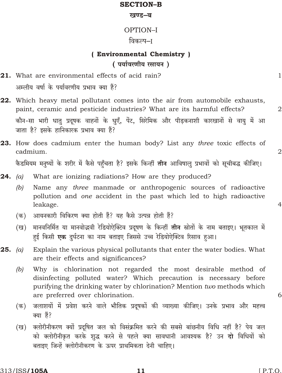#### **SECTION-B**

#### खण्ड–ब

### OPTION-I

### विकल्प–ा

# (Environmental Chemistry) (पर्यावरणीय रसायन)

- 21. What are environmental effects of acid rain? अम्लीय वर्षा के पर्यावरणीय प्रभाव क्या हैं?
- 22. Which heavy metal pollutant comes into the air from automobile exhausts, paint, ceramic and pesticide industries? What are its harmful effects? कौन-सा भारी धातु प्रदुषक वाहनों के धुएँ, पेंट, सिरेमिक और पीडकनाशी कारखानों से वायु में आ जाता है? इसके हानिकारक प्रभाव क्या हैं?
- **23.** How does cadmium enter the human body? List any three toxic effects of cadmium. कैडमियम मनुष्यों के शरीर में कैसे पहुँचता है? इसके किन्हीं **तीन** आविषालु प्रभावों को सूचीबद्ध कीजिए।
- **24.** (a) What are ionizing radiations? How are they produced?
	- $(b)$ Name any *three* manmade or anthropogenic sources of radioactive pollution and one accident in the past which led to high radioactive leakage.
	- आयनकारी विकिरण क्या होती हैं? यह कैसे उत्पन्न होती हैं? (क)
	- मानवनिर्मित या मानवोद्धवी रेडियोऐक्टिव प्रदूषण के किन्हीं **तीन** स्रोतों के नाम बताइए। भूतकाल में (ख) हुई किसी **एक** दुर्घटना का नाम बताइए जिससे उच्च रेडियोऐक्टिव रिसाव हुआ।
- **25.** (a) Explain the various physical pollutants that enter the water bodies. What are their effects and significances?
	- $(b)$ Why is chlorination not regarded the most desirable method of disinfecting polluted water? Which precaution is necessary before purifying the drinking water by chlorination? Mention two methods which are preferred over chlorination.
	- जलाशयों में प्रवेश करने वाले भौतिक प्रदूषकों की व्याख्या कीजिए। उनके प्रभाव और महत्त्व (क) क्या हैं?
	- क्लोरीनीकरण क्यों प्रदूषित जल को विसंक्रमित करने की सबसे बांछनीय विधि नहीं है? पेय जल (ख) को क्लोरीनीकृत करके शुद्ध करने से पहले क्या सावधानी आवश्यक है? उन **दो** विधियों को बताइए जिन्हें क्लोरीनीकरण के ऊपर प्राथमिकता देनी चाहिए।

 $\mathbf{1}$ 

 $\overline{2}$ 

 $\overline{4}$ 

6

 $\overline{2}$